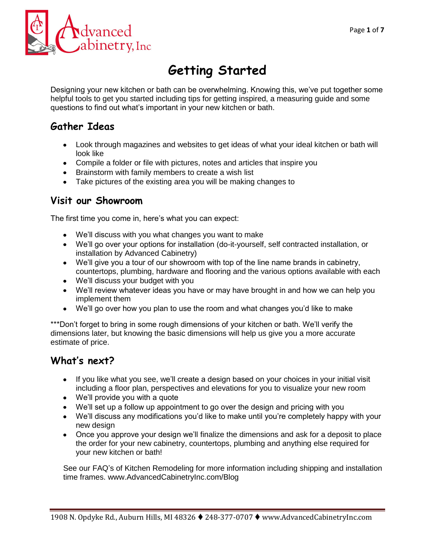

# **Getting Started**

Designing your new kitchen or bath can be overwhelming. Knowing this, we've put together some helpful tools to get you started including tips for getting inspired, a measuring guide and some questions to find out what's important in your new kitchen or bath.

## **Gather Ideas**

- Look through magazines and websites to get ideas of what your ideal kitchen or bath will look like
- Compile a folder or file with pictures, notes and articles that inspire you
- Brainstorm with family members to create a wish list
- Take pictures of the existing area you will be making changes to

### **Visit our Showroom**

The first time you come in, here's what you can expect:

- We'll discuss with you what changes you want to make
- We'll go over your options for installation (do-it-yourself, self contracted installation, or installation by Advanced Cabinetry)
- We'll give you a tour of our showroom with top of the line name brands in cabinetry, countertops, plumbing, hardware and flooring and the various options available with each
- We'll discuss your budget with you
- We'll review whatever ideas you have or may have brought in and how we can help you implement them
- We'll go over how you plan to use the room and what changes you'd like to make

\*\*\*Don't forget to bring in some rough dimensions of your kitchen or bath. We'll verify the dimensions later, but knowing the basic dimensions will help us give you a more accurate estimate of price.

## **What's next?**

- If you like what you see, we'll create a design based on your choices in your initial visit including a floor plan, perspectives and elevations for you to visualize your new room
- We'll provide you with a quote
- We'll set up a follow up appointment to go over the design and pricing with you
- We'll discuss any modifications you'd like to make until you're completely happy with your new design
- Once you approve your design we'll finalize the dimensions and ask for a deposit to place the order for your new cabinetry, countertops, plumbing and anything else required for your new kitchen or bath!

See our FAQ's of Kitchen Remodeling for more information including shipping and installation time frames. www.AdvancedCabinetryInc.com/Blog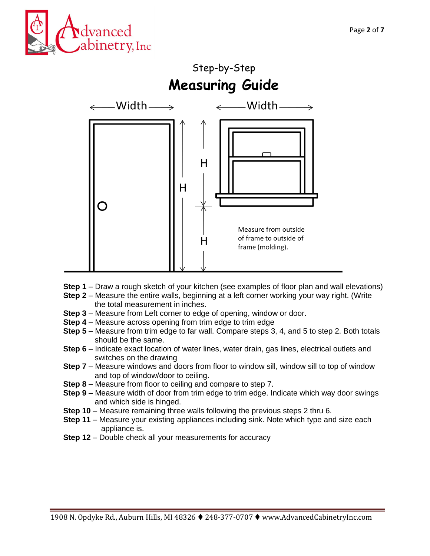



- **Step 1** Draw a rough sketch of your kitchen (see examples of floor plan and wall elevations)
- **Step 2** Measure the entire walls, beginning at a left corner working your way right. (Write the total measurement in inches.
- **Step 3** Measure from Left corner to edge of opening, window or door.
- **Step 4** Measure across opening from trim edge to trim edge
- **Step 5** Measure from trim edge to far wall. Compare steps 3, 4, and 5 to step 2. Both totals should be the same.
- **Step 6** Indicate exact location of water lines, water drain, gas lines, electrical outlets and switches on the drawing
- **Step 7** Measure windows and doors from floor to window sill, window sill to top of window and top of window/door to ceiling.
- **Step 8** Measure from floor to ceiling and compare to step 7.
- **Step 9** Measure width of door from trim edge to trim edge. Indicate which way door swings and which side is hinged.
- **Step 10** Measure remaining three walls following the previous steps 2 thru 6.
- **Step 11** Measure your existing appliances including sink. Note which type and size each appliance is.
- **Step 12** Double check all your measurements for accuracy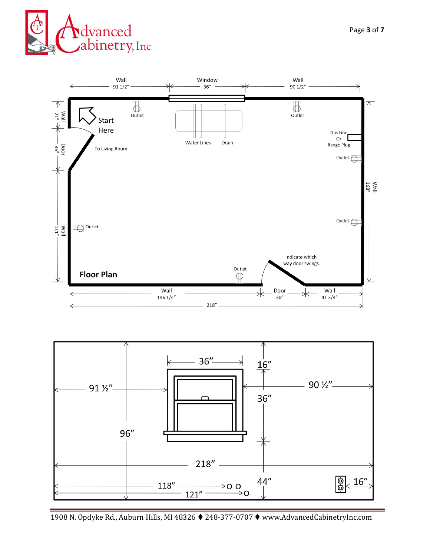





1908 N. Opdyke Rd., Auburn Hills, MI 48326 248-377-0707 www.AdvancedCabinetryInc.com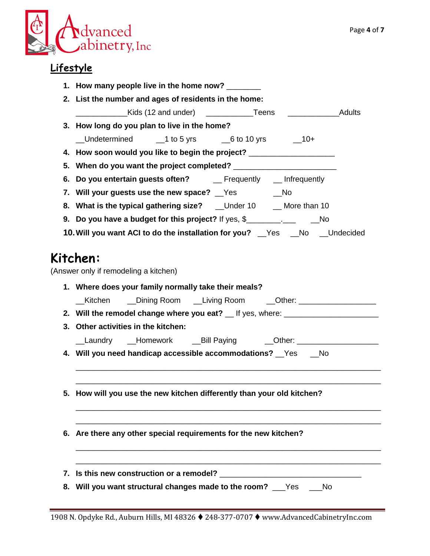

# **Lifestyle**

|    | 1. How many people live in the home now?                                                                                                                                                                                       |  |  |  |  |  |  |  |  |
|----|--------------------------------------------------------------------------------------------------------------------------------------------------------------------------------------------------------------------------------|--|--|--|--|--|--|--|--|
|    | 2. List the number and ages of residents in the home:                                                                                                                                                                          |  |  |  |  |  |  |  |  |
|    |                                                                                                                                                                                                                                |  |  |  |  |  |  |  |  |
|    | 3. How long do you plan to live in the home?                                                                                                                                                                                   |  |  |  |  |  |  |  |  |
|    | Lundetermined 1 to 5 yrs 6 to 10 yrs 10+                                                                                                                                                                                       |  |  |  |  |  |  |  |  |
|    | 4. How soon would you like to begin the project? _______________________________                                                                                                                                               |  |  |  |  |  |  |  |  |
|    |                                                                                                                                                                                                                                |  |  |  |  |  |  |  |  |
|    |                                                                                                                                                                                                                                |  |  |  |  |  |  |  |  |
|    | 7. Will your guests use the new space?  Some Section Mondon Mondon Mondon Mondon Mondon Mondon Mondon Mondon Mondon Mondon Mondon Mondon Mondon Mondon Mondon Mondon Mondon Mondon Mondon Mondon Mondon Mondon Mondon Mondon M |  |  |  |  |  |  |  |  |
|    | 8. What is the typical gathering size? __Under 10 __ More than 10                                                                                                                                                              |  |  |  |  |  |  |  |  |
|    | 9. Do you have a budget for this project? If yes, \$                                                                                                                                                                           |  |  |  |  |  |  |  |  |
|    | 10. Will you want ACI to do the installation for you? Figure 20 and Condecided                                                                                                                                                 |  |  |  |  |  |  |  |  |
|    |                                                                                                                                                                                                                                |  |  |  |  |  |  |  |  |
|    | Kitchen:                                                                                                                                                                                                                       |  |  |  |  |  |  |  |  |
|    | (Answer only if remodeling a kitchen)                                                                                                                                                                                          |  |  |  |  |  |  |  |  |
|    | 1. Where does your family normally take their meals?                                                                                                                                                                           |  |  |  |  |  |  |  |  |
|    | Living Room Currell Com Currell Come Currell Communist Communist Communist Communist Communist Communist Commu<br>Kitchen                                                                                                      |  |  |  |  |  |  |  |  |
|    |                                                                                                                                                                                                                                |  |  |  |  |  |  |  |  |
|    | 3. Other activities in the kitchen:                                                                                                                                                                                            |  |  |  |  |  |  |  |  |
|    | Laundry __Homework ___Bill Paying ______Other: _____________________                                                                                                                                                           |  |  |  |  |  |  |  |  |
|    | 4. Will you need handicap accessible accommodations? Ves __ No                                                                                                                                                                 |  |  |  |  |  |  |  |  |
|    |                                                                                                                                                                                                                                |  |  |  |  |  |  |  |  |
|    |                                                                                                                                                                                                                                |  |  |  |  |  |  |  |  |
| 5. | How will you use the new kitchen differently than your old kitchen?                                                                                                                                                            |  |  |  |  |  |  |  |  |
|    |                                                                                                                                                                                                                                |  |  |  |  |  |  |  |  |
|    |                                                                                                                                                                                                                                |  |  |  |  |  |  |  |  |
|    | 6. Are there any other special requirements for the new kitchen?                                                                                                                                                               |  |  |  |  |  |  |  |  |
|    |                                                                                                                                                                                                                                |  |  |  |  |  |  |  |  |
|    |                                                                                                                                                                                                                                |  |  |  |  |  |  |  |  |
|    |                                                                                                                                                                                                                                |  |  |  |  |  |  |  |  |
| 8. | Will you want structural changes made to the room? __Yes __No                                                                                                                                                                  |  |  |  |  |  |  |  |  |
|    |                                                                                                                                                                                                                                |  |  |  |  |  |  |  |  |

1908 N. Opdyke Rd., Auburn Hills, MI 48326 248-377-0707 www.AdvancedCabinetryInc.com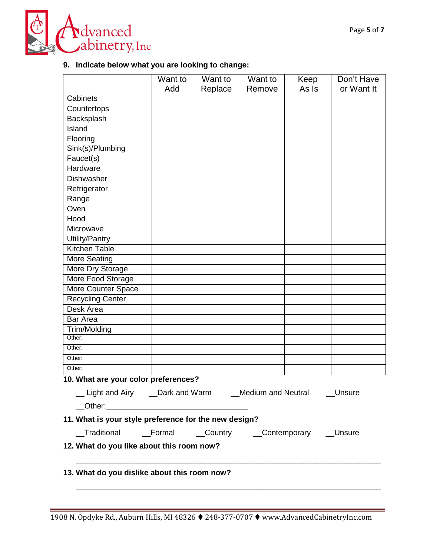

### **9. Indicate below what you are looking to change:**

|                                                                       | Want to | Want to | Want to | Keep  | Don't Have |
|-----------------------------------------------------------------------|---------|---------|---------|-------|------------|
|                                                                       | Add     | Replace | Remove  | As Is | or Want It |
| Cabinets                                                              |         |         |         |       |            |
| Countertops                                                           |         |         |         |       |            |
| Backsplash                                                            |         |         |         |       |            |
| Island                                                                |         |         |         |       |            |
| Flooring                                                              |         |         |         |       |            |
| Sink(s)/Plumbing                                                      |         |         |         |       |            |
| Faucet(s)                                                             |         |         |         |       |            |
| Hardware                                                              |         |         |         |       |            |
| Dishwasher                                                            |         |         |         |       |            |
| Refrigerator                                                          |         |         |         |       |            |
| Range                                                                 |         |         |         |       |            |
| Oven                                                                  |         |         |         |       |            |
| Hood                                                                  |         |         |         |       |            |
| Microwave                                                             |         |         |         |       |            |
| Utility/Pantry                                                        |         |         |         |       |            |
| Kitchen Table                                                         |         |         |         |       |            |
| More Seating                                                          |         |         |         |       |            |
| More Dry Storage                                                      |         |         |         |       |            |
| More Food Storage                                                     |         |         |         |       |            |
| More Counter Space                                                    |         |         |         |       |            |
| <b>Recycling Center</b>                                               |         |         |         |       |            |
| Desk Area                                                             |         |         |         |       |            |
| <b>Bar Area</b>                                                       |         |         |         |       |            |
| Trim/Molding                                                          |         |         |         |       |            |
| Other:                                                                |         |         |         |       |            |
| Other:                                                                |         |         |         |       |            |
| Other:                                                                |         |         |         |       |            |
| Other:                                                                |         |         |         |       |            |
| 10. What are your color preferences?                                  |         |         |         |       |            |
| __ Light and Airy ___ Dark and Warm ___ Medium and Neutral ___ Unsure |         |         |         |       |            |
|                                                                       |         |         |         |       |            |
|                                                                       |         |         |         |       |            |
| 11. What is your style preference for the new design?                 |         |         |         |       |            |
| __Traditional ___Formal ___Country ___Contemporary __Unsure           |         |         |         |       |            |
| 12. What do you like about this room now?                             |         |         |         |       |            |
|                                                                       |         |         |         |       |            |
|                                                                       |         |         |         |       |            |
| 13. What do you dislike about this room now?                          |         |         |         |       |            |
|                                                                       |         |         |         |       |            |
|                                                                       |         |         |         |       |            |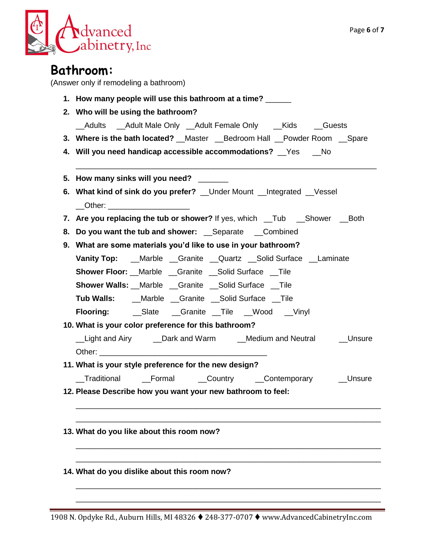

| 1. How many people will use this bathroom at a time?                                                          |  |  |  |  |  |  |
|---------------------------------------------------------------------------------------------------------------|--|--|--|--|--|--|
| 2. Who will be using the bathroom?                                                                            |  |  |  |  |  |  |
| __Adults ___Adult Male Only ___Adult Female Only ___Kids ____Guests                                           |  |  |  |  |  |  |
| 3. Where is the bath located? __Master __Bedroom Hall __Powder Room __Spare                                   |  |  |  |  |  |  |
| 4. Will you need handicap accessible accommodations? Fes Allo                                                 |  |  |  |  |  |  |
| 5. How many sinks will you need?                                                                              |  |  |  |  |  |  |
| 6. What kind of sink do you prefer? __ Under Mount __ Integrated __ Vessel<br>__Other: ______________________ |  |  |  |  |  |  |
| 7. Are you replacing the tub or shower? If yes, which __Tub ___Shower ___Both                                 |  |  |  |  |  |  |
| 8. Do you want the tub and shower: Separate Combined                                                          |  |  |  |  |  |  |
| 9. What are some materials you'd like to use in your bathroom?                                                |  |  |  |  |  |  |
| Vanity Top: __Marble __Granite __Quartz __Solid Surface __Laminate                                            |  |  |  |  |  |  |
| <b>Shower Floor:</b> __Marble __Granite __Solid Surface __Tile                                                |  |  |  |  |  |  |
| <b>Shower Walls:</b> Marble Granite Solid Surface Tile                                                        |  |  |  |  |  |  |
| <b>Tub Walls:</b> ___Marble __Granite __Solid Surface __Tile                                                  |  |  |  |  |  |  |
|                                                                                                               |  |  |  |  |  |  |
| 10. What is your color preference for this bathroom?                                                          |  |  |  |  |  |  |
| Light and Airy _____ Dark and Warm _________ Medium and Neutral ____________Unsure                            |  |  |  |  |  |  |
| 11. What is your style preference for the new design?                                                         |  |  |  |  |  |  |
| Traditional<br>Formal<br>Country <sub>.</sub><br>Contemporary<br>Unsure                                       |  |  |  |  |  |  |
| 12. Please Describe how you want your new bathroom to feel:                                                   |  |  |  |  |  |  |
|                                                                                                               |  |  |  |  |  |  |
|                                                                                                               |  |  |  |  |  |  |
| 13. What do you like about this room now?                                                                     |  |  |  |  |  |  |
|                                                                                                               |  |  |  |  |  |  |
|                                                                                                               |  |  |  |  |  |  |
|                                                                                                               |  |  |  |  |  |  |

1908 N. Opdyke Rd., Auburn Hills, MI 48326 248-377-0707 www.AdvancedCabinetryInc.com